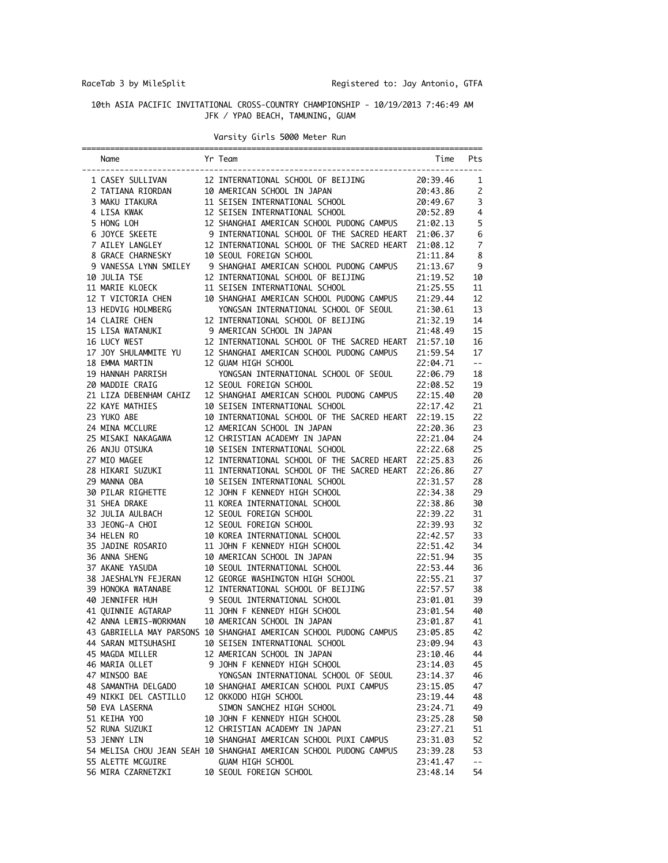RaceTab 3 by MileSplit **Registered to: Jay Antonio, GTFA** 

## 10th ASIA PACIFIC INVITATIONAL CROSS-COUNTRY CHAMPIONSHIP - 10/19/2013 7:46:49 AM JFK / YPAO BEACH, TAMUNING, GUAM

## Varsity Girls 5000 Meter Run

| Name                                  | Yr Team                                                                                                                                                                                                                                                 | Time                 | Pts                                           |
|---------------------------------------|---------------------------------------------------------------------------------------------------------------------------------------------------------------------------------------------------------------------------------------------------------|----------------------|-----------------------------------------------|
| 1 CASEY SULLIVAN                      | 12 INTERNATIONAL SCHOOL OF BEIJING                                                                                                                                                                                                                      | 20:39.46             | 1                                             |
|                                       |                                                                                                                                                                                                                                                         |                      | 2                                             |
|                                       |                                                                                                                                                                                                                                                         |                      | 3                                             |
|                                       | 4 LISA KWAK 12 SEISEN INTERNATIONAL SCHOOL 20:52.89<br>5 HONG LOH 12 SEISEN INTERNATIONAL SCHOOL PUDONG CAMPUS 21:02.13<br>6 JOYCE SKEETE 9 INTERNATIONAL SCHOOL OF THE SACRED HEART 21:06.37                                                           |                      | $\overline{4}$                                |
|                                       |                                                                                                                                                                                                                                                         |                      | 5                                             |
|                                       |                                                                                                                                                                                                                                                         |                      | 6                                             |
|                                       | 7 AILEY LANGLEY 12 INTERNATIONAL SCHOOL OF THE SACRED HEART                                                                                                                                                                                             | 21:08.12             | $\overline{7}$                                |
| 8 GRACE CHARNESKY                     | 10 SEOUL FOREIGN SCHOOL                                                                                                                                                                                                                                 | 21:11.84             | 8                                             |
|                                       |                                                                                                                                                                                                                                                         | 21:13.67             | -9                                            |
| 10 JULIA TSE                          |                                                                                                                                                                                                                                                         | 21:19.52             | 10                                            |
| 11 MARIE KLOECK                       | 11 SEISEN INTERNATIONAL SCHOOL                                                                                                                                                                                                                          | 21:25.55             | 11                                            |
| 12 T VICTORIA CHEN                    | 10 SHANGHAI AMERICAN SCHOOL PUDONG CAMPUS 21:29.44                                                                                                                                                                                                      |                      | 12                                            |
| 13 HEDVIG HOLMBERG                    | YONGSAN INTERNATIONAL SCHOOL OF SEOUL 21:30.61                                                                                                                                                                                                          |                      | 13                                            |
| 14 CLAIRE CHEN                        | 12 INTERNATIONAL SCHOOL OF BEIJING                                                                                                                                                                                                                      | 21:32.19             | 14                                            |
| 15 LISA WATANUKI                      | 9 AMERICAN SCHOOL IN JAPAN                                                                                                                                                                                                                              | 21:48.49             | 15                                            |
| 16 LUCY WEST                          | 12 INTERNATIONAL SCHOOL OF THE SACRED HEART 21:57.10                                                                                                                                                                                                    |                      | 16                                            |
| 17 JOY SHULAMMITE YU                  | 12 SHANGHAI AMERICAN SCHOOL PUDONG CAMPUS                                                                                                                                                                                                               | 21:59.54             | 17                                            |
| 18 EMMA MARTIN                        | 12 GUAM HIGH SCHOOL                                                                                                                                                                                                                                     | 22:04.71             | $\mathord{\hspace{1pt}\text{--}\hspace{1pt}}$ |
| 19 HANNAH PARRISH                     | YONGSAN INTERNATIONAL SCHOOL OF SEOUL                                                                                                                                                                                                                   | 22:06.79             | 18                                            |
| 20 MADDIE CRAIG                       | 12 SEOUL FOREIGN SCHOOL                                                                                                                                                                                                                                 | 22:08.52             | 19                                            |
| 21 LIZA DEBENHAM CAHIZ                | 12 SHANGHAI AMERICAN SCHOOL PUDONG CAMPUS 22:15.40                                                                                                                                                                                                      |                      | 20                                            |
| 22 KAYE MATHIES                       | 10 SEISEN INTERNATIONAL SCHOOL<br>22:17.42                                                                                                                                                                                                              |                      | 21                                            |
| 23 YUKO ABE                           | 10 INTERNATIONAL SCHOOL OF THE SACRED HEART 22:19.15                                                                                                                                                                                                    |                      | 22                                            |
| 24 MINA MCCLURE                       | 12 AMERICAN SCHOOL IN JAPAN                                                                                                                                                                                                                             | 22:20.36             | 23                                            |
| 24 MINA MULLUML<br>25 MISAKI NAKAGAWA | 12 CHRISTIAN ACADEMY IN JAPAN                                                                                                                                                                                                                           | 22:21.04             | 24                                            |
|                                       | 10 SEISEN INTERNATIONAL SCHOOL 22:22.68                                                                                                                                                                                                                 |                      | 25                                            |
| 27 MIO MAGEE                          | 12 INTERNATIONAL SCHOOL OF THE SACRED HEART 22:25.83                                                                                                                                                                                                    |                      | 26                                            |
| 28 HIKARI SUZUKI                      | 11 INTERNATIONAL SCHOOL OF THE SACRED HEART 22:26.86                                                                                                                                                                                                    |                      | 27                                            |
| 29 MANNA OBA                          |                                                                                                                                                                                                                                                         | 22:31.57             | 28                                            |
| 30 PILAR RIGHETTE<br>31 SHFA DRAKE    | 22:31.57<br>12 JOHN F KENNEDY HIGH SCHOOL 22:31.57<br>12 JOHN F KENNEDY HIGH SCHOOL 22:34.38<br>11 KOREA INTERNATIONAL SCHOOL 22:38.86<br>12 SEOUL FOREIGN SCHOOL 22:39.92<br>12 SEOUL FOREIGN SCHOOL 22:39.93<br>10 KOREA INTERNATIONAL S              |                      | 29                                            |
| 31 SHEA DRAKE                         |                                                                                                                                                                                                                                                         |                      | 30                                            |
| 32 JULIA AULBACH                      |                                                                                                                                                                                                                                                         |                      | 31                                            |
| 33 JEONG-A CHOI<br>34 HELEN PO        |                                                                                                                                                                                                                                                         |                      | 32                                            |
| 34 HELEN RO                           |                                                                                                                                                                                                                                                         | 22:39.93<br>22:42.57 | 33                                            |
| 35 JADINE ROSARIO                     |                                                                                                                                                                                                                                                         |                      | 34                                            |
| 36 ANNA SHENG                         |                                                                                                                                                                                                                                                         |                      | 35                                            |
| 37 AKANE YASUDA                       |                                                                                                                                                                                                                                                         |                      | 36                                            |
|                                       | 38 JAESHALYN FEJERAN 12 GEORGE WASHINGTON HIGH SCHOOL 22:55.21<br>39 HONOKA WATANABE 12 INTERNATIONAL SCHOOL OF BEIJING 22:57.57<br>40 JENNIFER HUH 9 SEOUL INTERNATIONAL SCHOOL 0F BEIJING 23:01.01<br>41 QUINNIE AGTARAP 11 JOHN F KE                 |                      | 37                                            |
|                                       |                                                                                                                                                                                                                                                         |                      | 38                                            |
|                                       |                                                                                                                                                                                                                                                         |                      | 39                                            |
|                                       |                                                                                                                                                                                                                                                         |                      | 40                                            |
|                                       |                                                                                                                                                                                                                                                         |                      | 41                                            |
|                                       | 43 GABRIELLA MAY PARSONS 10 SHANGHAI AMERICAN SCHOOL PUDONG CAMPUS                                                                                                                                                                                      | 23:05.85             | 42                                            |
|                                       | 44 SARAN MITSUHASHI 10 SEISEN INTERNATIONAL SCHOOL                                                                                                                                                                                                      | 23:09.94             | 43                                            |
| 45 MAGDA MILLER                       | 12 AMERICAN SCHOOL IN JAPAN                                                                                                                                                                                                                             | 23:10.46             | 44                                            |
| 46 MARIA OLLET                        | 9 JOHN F KENNEDY HIGH SCHOOL                                                                                                                                                                                                                            | 23:14.03             | 45                                            |
| 47 MINSOO BAE                         |                                                                                                                                                                                                                                                         |                      | 46                                            |
|                                       | YONGSAN INTERNATIONAL SCHOOL OF SEOUL 23:14.37<br>10 SHANGHAI AMERICAN SCHOOL PUXI CAMPUS 23:15.05<br>47 MINSOO BAE                         YONGSAN INTERNATIONAL SCHOOL OF SEOUL<br>48 SAMANTHA DELGADO        10 SHANGHAI AMERICAN SCHOOL PUXI CAMPUS |                      | 47                                            |
| 49 NIKKI DEL CASTILLO                 | 12 OKKODO HIGH SCHOOL                                                                                                                                                                                                                                   | 23:19.44             | 48                                            |
| 50 EVA LASERNA                        | SIMON SANCHEZ HIGH SCHOOL                                                                                                                                                                                                                               | 23:24.71             | 49                                            |
| 51 KEIHA YOO                          | 10 JOHN F KENNEDY HIGH SCHOOL                                                                                                                                                                                                                           | 23:25.28             | 50                                            |
| 52 RUNA SUZUKI                        | 12 CHRISTIAN ACADEMY IN JAPAN                                                                                                                                                                                                                           | 23:27.21             | 51                                            |
|                                       | 53 JENNY LIN 10 SHANGHAI AMERICAN SCHOOL PUXI CAMPUS 23:31.03<br>54 MELISA CHOU JEAN SEAH 10 SHANGHAI AMERICAN SCHOOL PUDONG CAMPUS 23:39.28                                                                                                            |                      | 52                                            |
|                                       |                                                                                                                                                                                                                                                         |                      | 53                                            |
|                                       |                                                                                                                                                                                                                                                         | 23:41.47             | $\perp$ $\perp$                               |
|                                       |                                                                                                                                                                                                                                                         | 23:48.14             | 54                                            |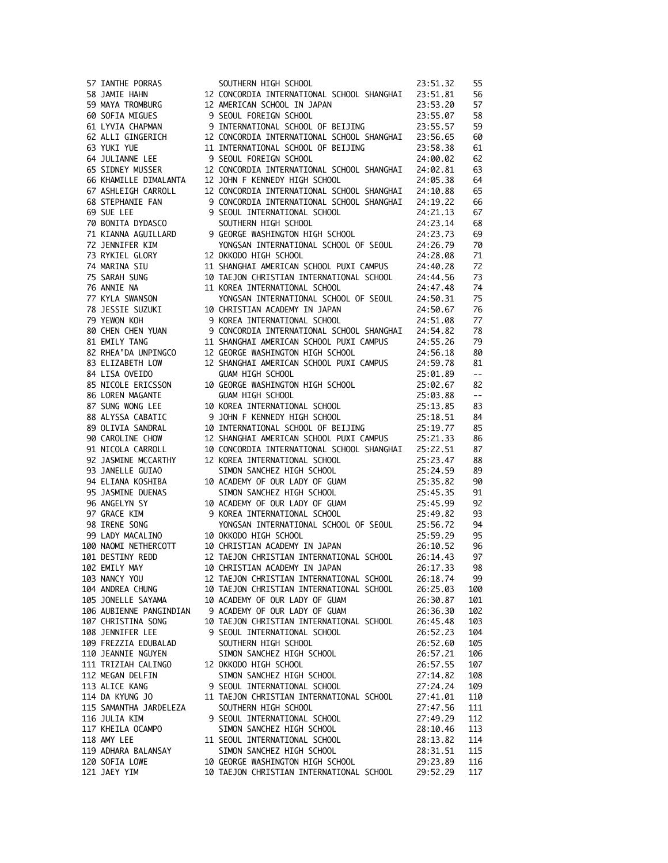|    | 57 IANTHE PORRAS                           |
|----|--------------------------------------------|
|    | 58 JAMIE HAHN                              |
|    | 59 MAYA TROMBURG                           |
|    | 60 SOFIA MIGUES                            |
|    | 61 LYVIA CHAPMAN<br>62 ALLI GINGERICH      |
|    |                                            |
|    | 63 YUKI YUE                                |
|    | 64 JULIANNE LEE<br>65 SIDNEY MUSSER        |
|    |                                            |
|    | 66 KHAMILLE DIMALANTA                      |
|    | 67 ASHLEIGH CARROLL<br>68 STEPHANIE FAN    |
|    |                                            |
|    | 69 SUE LEE                                 |
|    | 70 BONITA DYDASCO                          |
|    | 71 KIANNA AGUILLARD                        |
|    | 72 JENNIFER KIM                            |
|    | 73 RYKIEL GLORY                            |
|    | 74 MARINA SIU                              |
|    | 75 SARAH SUNG                              |
|    | 76 ANNIE NA                                |
|    | 77 KYLA SWANSON                            |
|    | 78 JESSIE SUZUKI                           |
|    | 79 YEWON KOH                               |
|    | 80 CHEN CHEN YUAN                          |
|    | 81 EMILY TANG<br>82 RHEA'DA UNPINGCO       |
|    |                                            |
|    | 83 ELIZABETH LOW                           |
|    | 84 LISA OVEIDO                             |
|    | 85 NICOLE ERICSSON                         |
|    | 86 LOREN MAGANTE                           |
|    | 87 SUNG WONG LEE                           |
|    | 88 ALYSSA CABATIC                          |
|    | 89 OLIVIA SANDRAL                          |
|    | 90 CAROLINE CHOW                           |
|    | 91 NICOLA CARROLL                          |
|    | 92 JASMINE MCCARTHY                        |
| 93 | JANELLE GUIAO                              |
|    | 94 ELIANA KOSHIBA                          |
|    | 95 JASMINE DUENAS<br>96 ANGELYN SY         |
|    |                                            |
|    | 97 GRACE KIM                               |
|    | 98 IRENE SONG<br>99 LADY MACALINO          |
|    |                                            |
|    | 100 NAOMI NETHERCOTT                       |
|    | 101 DESTINY REDD                           |
|    | 102 EMILY MAY                              |
|    | 103 NANCY YOU                              |
|    | 104 ANDREA CHUNG                           |
|    | 105 JONELLE SAYAMA                         |
|    | 106 AUBIENNE PANGINDIAN                    |
|    | 107 CHRISTINA SONG                         |
|    | 108 JENNIFER LEE                           |
|    | 109 FREZZIA EDUBALAD<br>110 JEANNIE NGUYEN |
|    |                                            |
|    | 111 TRIZIAH CALINGO                        |
|    | 112 MEGAN DELFIN                           |
|    | 113 ALICE KANG                             |
|    | 114 DA KYUNG JO                            |
|    | 115 SAMANTHA JARDELEZA<br>116 JULIA KIM    |
|    |                                            |
|    | 117 KHEILA OCAMPO                          |
|    | 118 AMY LEE                                |
|    | 119 ADHARA BALANSAY                        |
|    | 120 SOFIA LOWE                             |
|    | 121 JAEY YIM                               |

| 57 IANTHE PORRAS     | SOUTHERN HIGH SCHOOL                                                                                                                                                                                                                                    | 23:51.32                      | 55                                            |
|----------------------|---------------------------------------------------------------------------------------------------------------------------------------------------------------------------------------------------------------------------------------------------------|-------------------------------|-----------------------------------------------|
|                      |                                                                                                                                                                                                                                                         |                               | 56                                            |
|                      |                                                                                                                                                                                                                                                         |                               | 57                                            |
| 60 SOFIA MIGUES      |                                                                                                                                                                                                                                                         |                               | 58                                            |
| 61 LYVIA CHAPMAN     |                                                                                                                                                                                                                                                         |                               | 59                                            |
| 62 ALLI GINGERICH    | 12 CONCORDIA INTERNATIONAL SCHOOL SHANGHAI 23:56.65                                                                                                                                                                                                     |                               | 60                                            |
| 63 YUKI YUE          | 11 INTERNATIONAL SCHOOL OF BEIJING                                                                                                                                                                                                                      |                               | 61                                            |
| 64 JULIANNE LEE      | 9 SEOUL FOREIGN SCHOOL                                                                                                                                                                                                                                  | 23: Jul.<br>24:00.02<br>^^ 81 | 62                                            |
|                      |                                                                                                                                                                                                                                                         |                               | 63                                            |
|                      |                                                                                                                                                                                                                                                         |                               | 64                                            |
|                      | 65 SIDNEY MUSSER 12 CONCORDIA INTERNATIONAL SCHOOL SHANGHAI 24:02.81<br>66 KHAMILLE DIMALANTA 12 JOHN F KENNEDY HIGH SCHOOL SHANGHAI 24:05.38<br>67 ASHLEIGH CARROLL 12 CONCORDIA INTERNATIONAL SCHOOL SHANGHAI 24:10.88                                |                               | 65                                            |
|                      | CONCORDIA INTERNATIONAL SCHOOL SHANGHAI<br>CONCORDIA INTERNATIONAL SCHOOL SHANGHAI<br>24:21.13<br>70 BONITA DYDASCO SUUTHERN HIGH SCHOOL 24:23.14<br>71 KIANNA AGUILLARD 9 GEORGE WASHINGTON HIGH SCHOOL 24:23.73<br>72 JENNIFER KIM YON                |                               | 66                                            |
|                      |                                                                                                                                                                                                                                                         |                               | 67                                            |
|                      |                                                                                                                                                                                                                                                         |                               | 68                                            |
|                      |                                                                                                                                                                                                                                                         |                               | 69                                            |
|                      |                                                                                                                                                                                                                                                         |                               | 70                                            |
| 73 RYKIEL GLORY      | YUNG ANT ANTALLE                                                                                                                                                                                                                                        | 24:28.08                      | 71                                            |
| 74 MARINA SIU        | 11 SHANGHAI AMERICAN SCHOOL PUXI CAMPUS 24:40.28                                                                                                                                                                                                        |                               | 72                                            |
| 75 SARAH SUNG        | 10 TAEJON CHRISTIAN INTERNATIONAL SCHOOL                                                                                                                                                                                                                | 24:44.56                      | 73                                            |
| 76 ANNIE NA          | 11 KOREA INTERNATIONAL SCHOOL                                                                                                                                                                                                                           | 24:47.48                      | 74                                            |
| 77 KYLA SWANSON      | YONGSAN INTERNATIONAL SCHOOL OF SEOUL 24:50.31                                                                                                                                                                                                          |                               | 75                                            |
|                      |                                                                                                                                                                                                                                                         | 24:50.67                      | 76                                            |
| 79 YEWON KOH         | 9 KOREA INTERNATIONAL SCHOOL                                                                                                                                                                                                                            | 24:51.08                      | 77                                            |
|                      |                                                                                                                                                                                                                                                         |                               | 78                                            |
|                      | 80 CHEN CHEN YUAN 9 CONCORDIA INTERNATIONAL SCHOOL SHANGHAI 24:54.82<br>81 EMILY TANG                 11 SHANGHAI AMERICAN SCHOOL PUXI CAMPUS         24:55.26                                                                                          |                               | 79                                            |
| 82 RHEA'DA UNPINGCO  | 12 GEORGE WASHINGTON HIGH SCHOOL                                                                                                                                                                                                                        | 24:56.18                      | 80                                            |
| 83 ELIZABETH LOW     | 12 SHANGHAI AMERICAN SCHOOL PUXI CAMPUS                                                                                                                                                                                                                 | 24:59.78                      | 81                                            |
| 84 LISA OVEIDO       | GUAM HIGH SCHOOL                                                                                                                                                                                                                                        | 25:01.89                      | $\mathord{\hspace{1pt}\text{--}\hspace{1pt}}$ |
| 85 NICOLE ERICSSON   |                                                                                                                                                                                                                                                         | 25:02.67                      | 82                                            |
| 86 LOREN MAGANTE     | 10 GEORGE WASHINGTON HIGH SCHOOL<br>GUAM HIGH SCHOOL<br><b>GUAM HIGH SCHOOL</b>                                                                                                                                                                         | 25:03.88                      | $\sim$ $-$                                    |
| 87 SUNG WONG LEE     |                                                                                                                                                                                                                                                         |                               | 83                                            |
| 88 ALYSSA CABATIC    |                                                                                                                                                                                                                                                         |                               | 84                                            |
|                      |                                                                                                                                                                                                                                                         |                               | 85                                            |
| 89 OLIVIA SANDRAL    | 25:03.88<br>9 JOHN F KENNEDY HIGH SCHOOL<br>9 JOHN F KENNEDY HIGH SCHOOL<br>10 INTERNATIONAL SCHOOL<br>12 SUANCULT ALEREALY SCHOOL<br>12 SUANCULT ALEREALY SCHOOL<br>12 SHANGHAI AMERICAN SCHOOL PUXI CAMPUS 25:21.33                                   |                               |                                               |
| 90 CAROLINE CHOW     | 10 CONCORDIA INTERNATIONAL SCHOOL SHANGHAI 25:22.51                                                                                                                                                                                                     |                               | 86<br>87                                      |
|                      | 91 NICOLA CARROLL 10 CONCORDIA INTERNATIONAL SCHOOL 25:23.47<br>92 JASMINE MCCARTHY 12 KOREA INTERNATIONAL SCHOOL 25:24.59<br>94 ELIANA KOSHIBA 10 ACADEMY OF OUR LADY OF GUAM 25:35.82<br>95 JASMINE DUENAS 5IMON SANCHEZ HIGH SCHO                    |                               |                                               |
|                      |                                                                                                                                                                                                                                                         |                               | 88                                            |
|                      |                                                                                                                                                                                                                                                         |                               | 89<br>90                                      |
|                      |                                                                                                                                                                                                                                                         |                               | 91                                            |
|                      |                                                                                                                                                                                                                                                         |                               | 92                                            |
|                      | 97 GRACE KIM (SENDERINTIONAL SCHOOL)<br>98 IRENE SONG (SENDERINTIONAL SCHOOL)<br>99 LADY MACALINO (SENDERINTIONAL SCHOOL)<br>109 NAOMI NETHERCOTT (SENDERINTIAN ACADEMY IN JAPAN<br>101 DESTINY REDD (SENDERINTIAN INTERNATIONAL SCHOO                  |                               | 93                                            |
|                      | YONGSAN INTERNATIONAL SCHOOL OF SEOUL 25:56.72                                                                                                                                                                                                          |                               |                                               |
|                      |                                                                                                                                                                                                                                                         |                               | 94                                            |
|                      |                                                                                                                                                                                                                                                         | 25:59.29                      | 95                                            |
|                      |                                                                                                                                                                                                                                                         | 26:10.52                      | 96                                            |
|                      |                                                                                                                                                                                                                                                         | 26:14.43                      | 97                                            |
|                      |                                                                                                                                                                                                                                                         |                               | 98                                            |
|                      |                                                                                                                                                                                                                                                         |                               | 99                                            |
|                      |                                                                                                                                                                                                                                                         |                               | 100                                           |
|                      | 105 JONELLE SAYAMA 10 ACADEMY OF OUR LADY OF GUAM                                                                                                                                                                                                       | 26:30.87                      | 101                                           |
|                      | 106 AUBIENNE PANGINDIAN 9 ACADEMY OF OUR LADY OF GUAM                                                                                                                                                                                                   | 26:36.30                      | 102                                           |
| 107 CHRISTINA SONG   | 10 TAEJON CHRISTIAN INTERNATIONAL SCHOOL 26:45.48                                                                                                                                                                                                       |                               | 103                                           |
| 108 JENNIFER LEE     | 9 SEOUL INTERNATIONAL SCHOOL<br>SERVICE ANTIFAMATIONAL SCHOOL<br>SOUTHERN HIGH SCHOOL<br>SIMON SANCHEZ HIGH SCHOOL<br>12 OKKODO HIGH SCHOOL<br>9 SEOUL INTERNATIONAL SCHOOL<br>9 SEOUL INTERNATIONAL SCHOOL<br>11 TE DON CURTETIAN INTERNATIONAL SCHOOL | 26:52.23                      | 104                                           |
| 109 FREZZIA EDUBALAD |                                                                                                                                                                                                                                                         | 26:52.60                      | 105                                           |
| 110 JEANNIE NGUYEN   |                                                                                                                                                                                                                                                         | 26:57.21                      | 106                                           |
|                      |                                                                                                                                                                                                                                                         | 26:57.55                      | 107                                           |
| 112 MEGAN DELFIN     |                                                                                                                                                                                                                                                         | 27:14.82                      | 108                                           |
|                      |                                                                                                                                                                                                                                                         |                               | 109                                           |
|                      |                                                                                                                                                                                                                                                         |                               | 110                                           |
|                      |                                                                                                                                                                                                                                                         |                               | 111                                           |
|                      |                                                                                                                                                                                                                                                         |                               | 112                                           |
|                      |                                                                                                                                                                                                                                                         |                               | 113                                           |
|                      |                                                                                                                                                                                                                                                         |                               | 114                                           |
|                      |                                                                                                                                                                                                                                                         |                               | 115                                           |
|                      |                                                                                                                                                                                                                                                         |                               | 116                                           |
|                      |                                                                                                                                                                                                                                                         |                               | 117                                           |